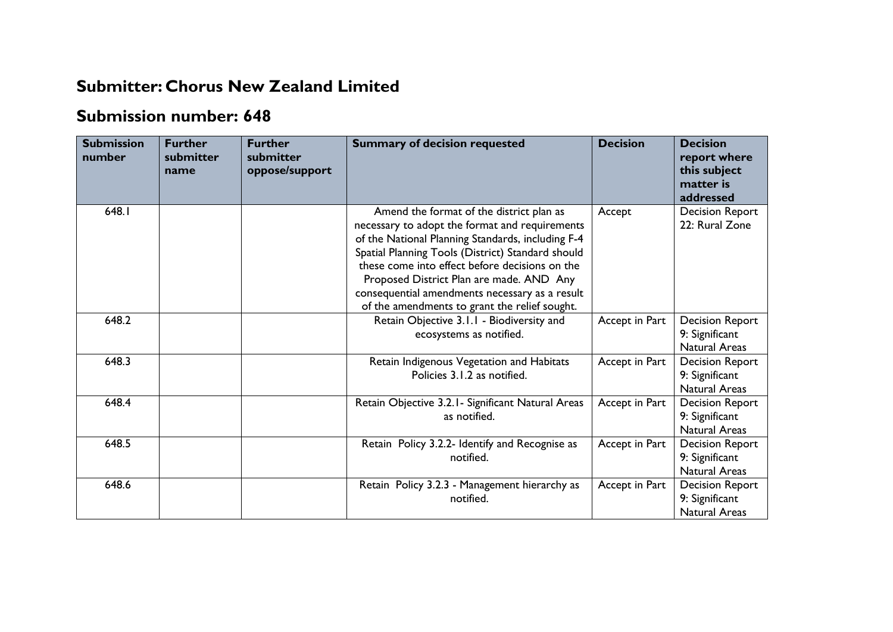## **Submitter: Chorus New Zealand Limited**

## **Submission number: 648**

| <b>Submission</b><br>number | <b>Further</b><br>submitter<br>name | <b>Further</b><br>submitter<br>oppose/support | <b>Summary of decision requested</b>                                                                                                                                                                                                                                                                                                                                                                  | <b>Decision</b> | <b>Decision</b><br>report where<br>this subject<br>matter is<br>addressed |
|-----------------------------|-------------------------------------|-----------------------------------------------|-------------------------------------------------------------------------------------------------------------------------------------------------------------------------------------------------------------------------------------------------------------------------------------------------------------------------------------------------------------------------------------------------------|-----------------|---------------------------------------------------------------------------|
| 648.I                       |                                     |                                               | Amend the format of the district plan as<br>necessary to adopt the format and requirements<br>of the National Planning Standards, including F-4<br>Spatial Planning Tools (District) Standard should<br>these come into effect before decisions on the<br>Proposed District Plan are made. AND Any<br>consequential amendments necessary as a result<br>of the amendments to grant the relief sought. | Accept          | <b>Decision Report</b><br>22: Rural Zone                                  |
| 648.2                       |                                     |                                               | Retain Objective 3.1.1 - Biodiversity and<br>ecosystems as notified.                                                                                                                                                                                                                                                                                                                                  | Accept in Part  | <b>Decision Report</b><br>9: Significant<br><b>Natural Areas</b>          |
| 648.3                       |                                     |                                               | Retain Indigenous Vegetation and Habitats<br>Policies 3.1.2 as notified.                                                                                                                                                                                                                                                                                                                              | Accept in Part  | <b>Decision Report</b><br>9: Significant<br><b>Natural Areas</b>          |
| 648.4                       |                                     |                                               | Retain Objective 3.2.1 - Significant Natural Areas<br>as notified.                                                                                                                                                                                                                                                                                                                                    | Accept in Part  | <b>Decision Report</b><br>9: Significant<br><b>Natural Areas</b>          |
| 648.5                       |                                     |                                               | Retain Policy 3.2.2- Identify and Recognise as<br>notified.                                                                                                                                                                                                                                                                                                                                           | Accept in Part  | <b>Decision Report</b><br>9: Significant<br><b>Natural Areas</b>          |
| 648.6                       |                                     |                                               | Retain Policy 3.2.3 - Management hierarchy as<br>notified.                                                                                                                                                                                                                                                                                                                                            | Accept in Part  | <b>Decision Report</b><br>9: Significant<br><b>Natural Areas</b>          |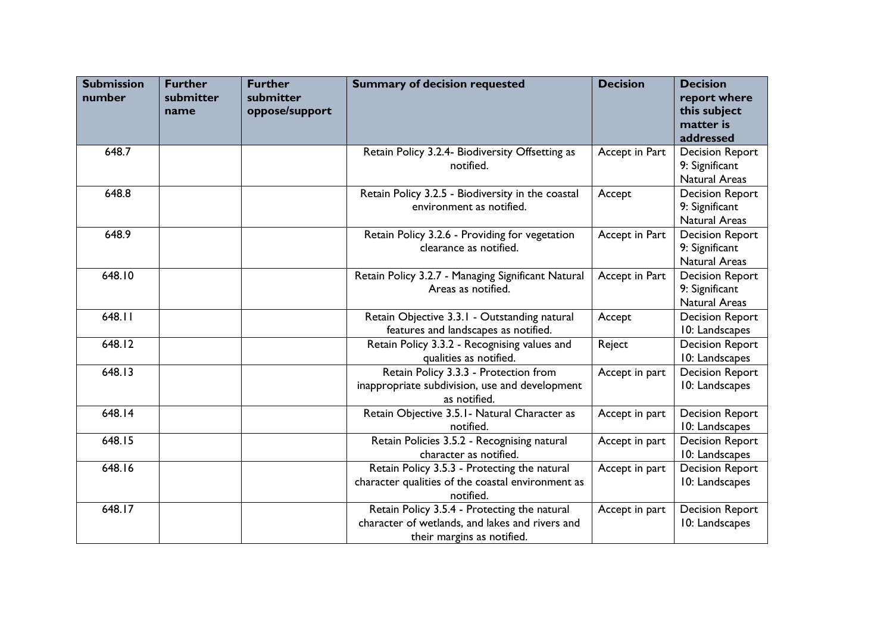| <b>Submission</b><br>number | <b>Further</b><br>submitter | <b>Further</b><br>submitter | <b>Summary of decision requested</b>               | <b>Decision</b> | <b>Decision</b><br>report where |
|-----------------------------|-----------------------------|-----------------------------|----------------------------------------------------|-----------------|---------------------------------|
|                             | name                        | oppose/support              |                                                    |                 | this subject                    |
|                             |                             |                             |                                                    |                 | matter is                       |
|                             |                             |                             |                                                    |                 | addressed                       |
| 648.7                       |                             |                             | Retain Policy 3.2.4- Biodiversity Offsetting as    | Accept in Part  | <b>Decision Report</b>          |
|                             |                             |                             | notified.                                          |                 | 9: Significant                  |
|                             |                             |                             |                                                    |                 | <b>Natural Areas</b>            |
| 648.8                       |                             |                             | Retain Policy 3.2.5 - Biodiversity in the coastal  | Accept          | <b>Decision Report</b>          |
|                             |                             |                             | environment as notified.                           |                 | 9: Significant                  |
|                             |                             |                             |                                                    |                 | <b>Natural Areas</b>            |
| 648.9                       |                             |                             | Retain Policy 3.2.6 - Providing for vegetation     | Accept in Part  | <b>Decision Report</b>          |
|                             |                             |                             | clearance as notified.                             |                 | 9: Significant                  |
|                             |                             |                             |                                                    |                 | <b>Natural Areas</b>            |
| 648.10                      |                             |                             | Retain Policy 3.2.7 - Managing Significant Natural | Accept in Part  | <b>Decision Report</b>          |
|                             |                             |                             | Areas as notified.                                 |                 | 9: Significant                  |
|                             |                             |                             |                                                    |                 | Natural Areas                   |
| 648.11                      |                             |                             | Retain Objective 3.3.1 - Outstanding natural       | Accept          | <b>Decision Report</b>          |
|                             |                             |                             | features and landscapes as notified.               |                 | 10: Landscapes                  |
| 648.12                      |                             |                             | Retain Policy 3.3.2 - Recognising values and       | Reject          | <b>Decision Report</b>          |
|                             |                             |                             | qualities as notified.                             |                 | 10: Landscapes                  |
| 648.13                      |                             |                             | Retain Policy 3.3.3 - Protection from              | Accept in part  | <b>Decision Report</b>          |
|                             |                             |                             | inappropriate subdivision, use and development     |                 | 10: Landscapes                  |
|                             |                             |                             | as notified.                                       |                 |                                 |
| 648.14                      |                             |                             | Retain Objective 3.5.1 - Natural Character as      | Accept in part  | <b>Decision Report</b>          |
|                             |                             |                             | notified.                                          |                 | 10: Landscapes                  |
| 648.15                      |                             |                             | Retain Policies 3.5.2 - Recognising natural        | Accept in part  | <b>Decision Report</b>          |
|                             |                             |                             | character as notified.                             |                 | 10: Landscapes                  |
| 648.16                      |                             |                             | Retain Policy 3.5.3 - Protecting the natural       | Accept in part  | <b>Decision Report</b>          |
|                             |                             |                             | character qualities of the coastal environment as  |                 | 10: Landscapes                  |
|                             |                             |                             | notified.                                          |                 |                                 |
| 648.17                      |                             |                             | Retain Policy 3.5.4 - Protecting the natural       | Accept in part  | <b>Decision Report</b>          |
|                             |                             |                             | character of wetlands, and lakes and rivers and    |                 | 10: Landscapes                  |
|                             |                             |                             | their margins as notified.                         |                 |                                 |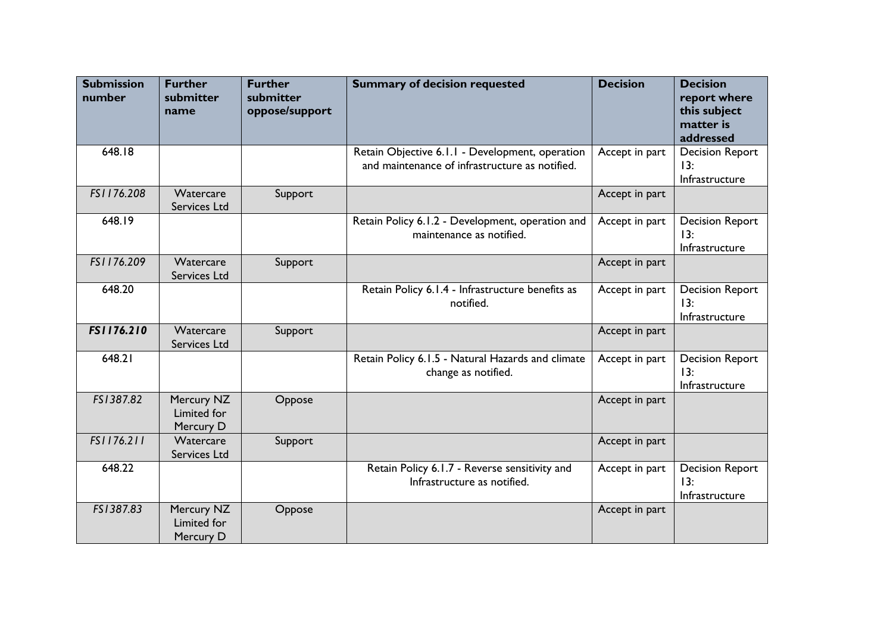| <b>Submission</b><br>number | <b>Further</b><br>submitter<br>name    | <b>Further</b><br>submitter<br>oppose/support | <b>Summary of decision requested</b>                                                              | <b>Decision</b> | <b>Decision</b><br>report where<br>this subject<br>matter is<br>addressed |
|-----------------------------|----------------------------------------|-----------------------------------------------|---------------------------------------------------------------------------------------------------|-----------------|---------------------------------------------------------------------------|
| 648.18                      |                                        |                                               | Retain Objective 6.1.1 - Development, operation<br>and maintenance of infrastructure as notified. | Accept in part  | <b>Decision Report</b><br>13:<br>Infrastructure                           |
| FS1176.208                  | Watercare<br>Services Ltd              | Support                                       |                                                                                                   | Accept in part  |                                                                           |
| 648.19                      |                                        |                                               | Retain Policy 6.1.2 - Development, operation and<br>maintenance as notified.                      | Accept in part  | <b>Decision Report</b><br>13:<br>Infrastructure                           |
| FS1176.209                  | Watercare<br>Services Ltd              | Support                                       |                                                                                                   | Accept in part  |                                                                           |
| 648.20                      |                                        |                                               | Retain Policy 6.1.4 - Infrastructure benefits as<br>notified.                                     | Accept in part  | <b>Decision Report</b><br>13:<br>Infrastructure                           |
| FS1176.210                  | Watercare<br>Services Ltd              | Support                                       |                                                                                                   | Accept in part  |                                                                           |
| 648.21                      |                                        |                                               | Retain Policy 6.1.5 - Natural Hazards and climate<br>change as notified.                          | Accept in part  | <b>Decision Report</b><br>13:<br>Infrastructure                           |
| FS1387.82                   | Mercury NZ<br>Limited for<br>Mercury D | Oppose                                        |                                                                                                   | Accept in part  |                                                                           |
| FS1176.211                  | Watercare<br>Services Ltd              | Support                                       |                                                                                                   | Accept in part  |                                                                           |
| 648.22                      |                                        |                                               | Retain Policy 6.1.7 - Reverse sensitivity and<br>Infrastructure as notified.                      | Accept in part  | <b>Decision Report</b><br>13:<br>Infrastructure                           |
| FS1387.83                   | Mercury NZ<br>Limited for<br>Mercury D | Oppose                                        |                                                                                                   | Accept in part  |                                                                           |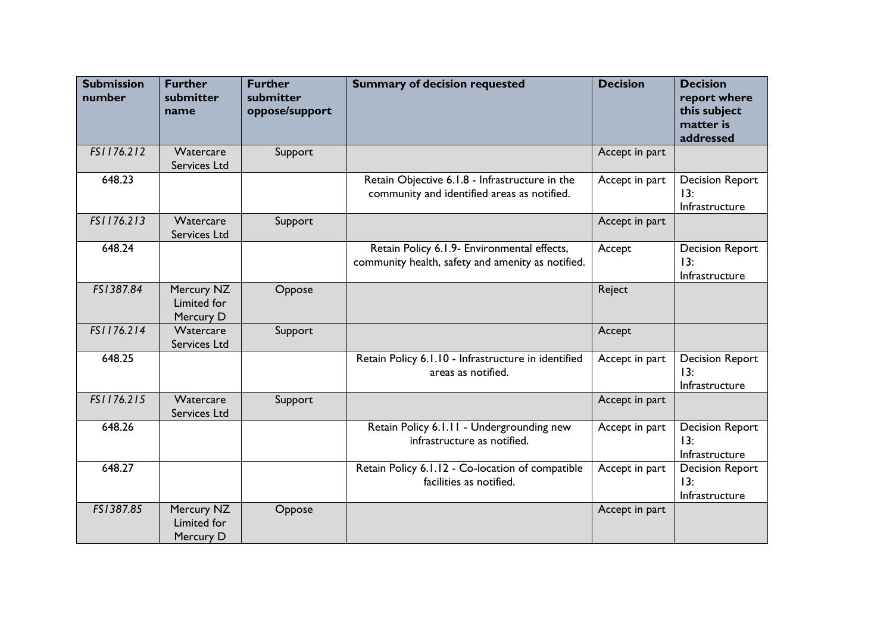| <b>Submission</b><br>number | <b>Further</b><br>submitter<br>name    | <b>Further</b><br>submitter<br>oppose/support | <b>Summary of decision requested</b>                                                             | <b>Decision</b> | <b>Decision</b><br>report where<br>this subject<br>matter is<br>addressed |
|-----------------------------|----------------------------------------|-----------------------------------------------|--------------------------------------------------------------------------------------------------|-----------------|---------------------------------------------------------------------------|
| FS1176.212                  | Watercare<br>Services Ltd              | Support                                       |                                                                                                  | Accept in part  |                                                                           |
| 648.23                      |                                        |                                               | Retain Objective 6.1.8 - Infrastructure in the<br>community and identified areas as notified.    | Accept in part  | <b>Decision Report</b><br>13:<br>Infrastructure                           |
| FS1176.213                  | Watercare<br>Services Ltd              | Support                                       |                                                                                                  | Accept in part  |                                                                           |
| 648.24                      |                                        |                                               | Retain Policy 6.1.9- Environmental effects,<br>community health, safety and amenity as notified. | Accept          | <b>Decision Report</b><br>13:<br>Infrastructure                           |
| FS1387.84                   | Mercury NZ<br>Limited for<br>Mercury D | Oppose                                        |                                                                                                  | Reject          |                                                                           |
| FS1176.214                  | Watercare<br>Services Ltd              | Support                                       |                                                                                                  | Accept          |                                                                           |
| 648.25                      |                                        |                                               | Retain Policy 6.1.10 - Infrastructure in identified<br>areas as notified.                        | Accept in part  | <b>Decision Report</b><br>13:<br>Infrastructure                           |
| FS1176.215                  | Watercare<br>Services Ltd              | Support                                       |                                                                                                  | Accept in part  |                                                                           |
| 648.26                      |                                        |                                               | Retain Policy 6.1.11 - Undergrounding new<br>infrastructure as notified.                         | Accept in part  | <b>Decision Report</b><br>13:<br>Infrastructure                           |
| 648.27                      |                                        |                                               | Retain Policy 6.1.12 - Co-location of compatible<br>facilities as notified.                      | Accept in part  | <b>Decision Report</b><br>13:<br>Infrastructure                           |
| FS1387.85                   | Mercury NZ<br>Limited for<br>Mercury D | Oppose                                        |                                                                                                  | Accept in part  |                                                                           |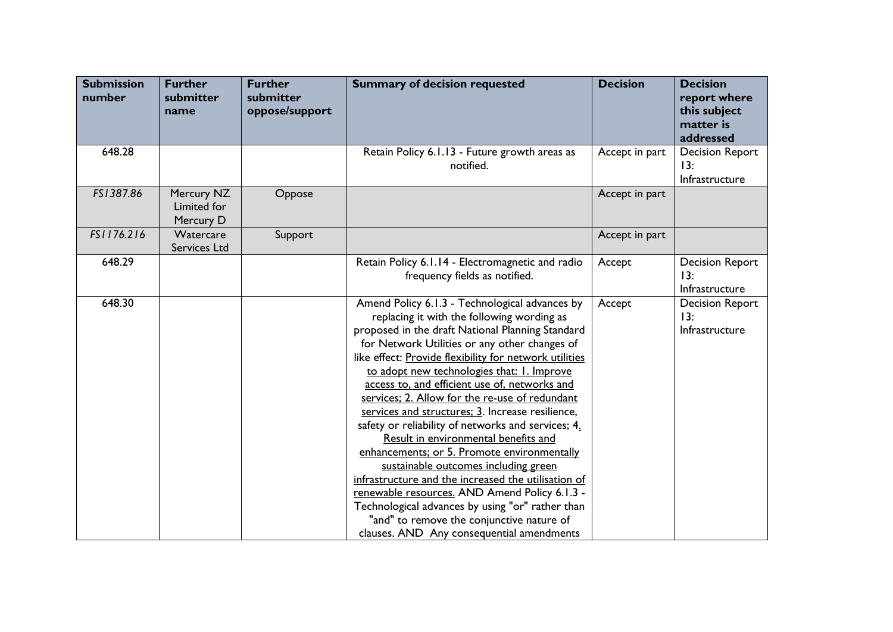| <b>Submission</b><br>number | <b>Further</b><br>submitter<br>name    | <b>Further</b><br>submitter<br>oppose/support | <b>Summary of decision requested</b>                                                                                                                                                                                                                                                                                                                                                                                                                                                                                                                                                                                                                                                                                                                                                                                                                                                                        | <b>Decision</b> | <b>Decision</b><br>report where<br>this subject<br>matter is<br>addressed |
|-----------------------------|----------------------------------------|-----------------------------------------------|-------------------------------------------------------------------------------------------------------------------------------------------------------------------------------------------------------------------------------------------------------------------------------------------------------------------------------------------------------------------------------------------------------------------------------------------------------------------------------------------------------------------------------------------------------------------------------------------------------------------------------------------------------------------------------------------------------------------------------------------------------------------------------------------------------------------------------------------------------------------------------------------------------------|-----------------|---------------------------------------------------------------------------|
| 648.28                      |                                        |                                               | Retain Policy 6.1.13 - Future growth areas as<br>notified.                                                                                                                                                                                                                                                                                                                                                                                                                                                                                                                                                                                                                                                                                                                                                                                                                                                  | Accept in part  | <b>Decision Report</b><br>13:<br>Infrastructure                           |
| FS1387.86                   | Mercury NZ<br>Limited for<br>Mercury D | Oppose                                        |                                                                                                                                                                                                                                                                                                                                                                                                                                                                                                                                                                                                                                                                                                                                                                                                                                                                                                             | Accept in part  |                                                                           |
| FS1176.216                  | Watercare<br>Services Ltd              | Support                                       |                                                                                                                                                                                                                                                                                                                                                                                                                                                                                                                                                                                                                                                                                                                                                                                                                                                                                                             | Accept in part  |                                                                           |
| 648.29                      |                                        |                                               | Retain Policy 6.1.14 - Electromagnetic and radio<br>frequency fields as notified.                                                                                                                                                                                                                                                                                                                                                                                                                                                                                                                                                                                                                                                                                                                                                                                                                           | Accept          | <b>Decision Report</b><br>13:<br>Infrastructure                           |
| 648.30                      |                                        |                                               | Amend Policy 6.1.3 - Technological advances by<br>replacing it with the following wording as<br>proposed in the draft National Planning Standard<br>for Network Utilities or any other changes of<br>like effect: Provide flexibility for network utilities<br>to adopt new technologies that: I. Improve<br>access to, and efficient use of, networks and<br>services; 2. Allow for the re-use of redundant<br>services and structures; 3. Increase resilience,<br>safety or reliability of networks and services; 4.<br>Result in environmental benefits and<br>enhancements; or 5. Promote environmentally<br>sustainable outcomes including green<br>infrastructure and the increased the utilisation of<br>renewable resources. AND Amend Policy 6.1.3 -<br>Technological advances by using "or" rather than<br>"and" to remove the conjunctive nature of<br>clauses. AND Any consequential amendments | Accept          | <b>Decision Report</b><br>13:<br>Infrastructure                           |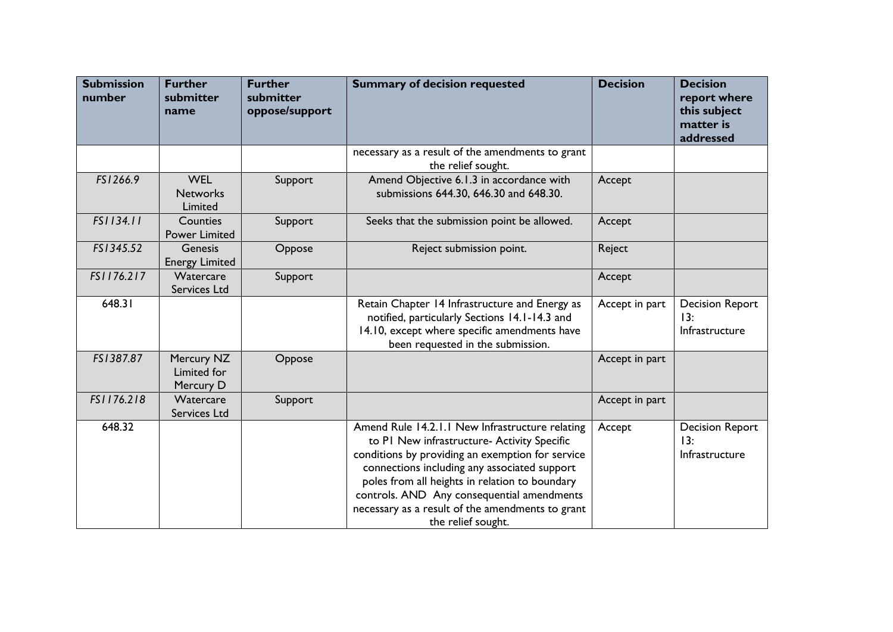| <b>Submission</b><br>number | <b>Further</b><br>submitter<br>name      | <b>Further</b><br>submitter<br>oppose/support | <b>Summary of decision requested</b>                                                                                                                                                                                                                                                                                                                                         | <b>Decision</b> | <b>Decision</b><br>report where<br>this subject<br>matter is<br>addressed |
|-----------------------------|------------------------------------------|-----------------------------------------------|------------------------------------------------------------------------------------------------------------------------------------------------------------------------------------------------------------------------------------------------------------------------------------------------------------------------------------------------------------------------------|-----------------|---------------------------------------------------------------------------|
|                             |                                          |                                               | necessary as a result of the amendments to grant<br>the relief sought.                                                                                                                                                                                                                                                                                                       |                 |                                                                           |
| FS1266.9                    | <b>WEL</b><br><b>Networks</b><br>Limited | Support                                       | Amend Objective 6.1.3 in accordance with<br>submissions 644.30, 646.30 and 648.30.                                                                                                                                                                                                                                                                                           | Accept          |                                                                           |
| FS1134.11                   | Counties<br><b>Power Limited</b>         | Support                                       | Seeks that the submission point be allowed.                                                                                                                                                                                                                                                                                                                                  | Accept          |                                                                           |
| FS1345.52                   | Genesis<br><b>Energy Limited</b>         | Oppose                                        | Reject submission point.                                                                                                                                                                                                                                                                                                                                                     | Reject          |                                                                           |
| FS1176.217                  | Watercare<br>Services Ltd                | Support                                       |                                                                                                                                                                                                                                                                                                                                                                              | Accept          |                                                                           |
| 648.31                      |                                          |                                               | Retain Chapter 14 Infrastructure and Energy as<br>notified, particularly Sections 14.1-14.3 and<br>14.10, except where specific amendments have<br>been requested in the submission.                                                                                                                                                                                         | Accept in part  | <b>Decision Report</b><br>13:<br>Infrastructure                           |
| FS1387.87                   | Mercury NZ<br>Limited for<br>Mercury D   | Oppose                                        |                                                                                                                                                                                                                                                                                                                                                                              | Accept in part  |                                                                           |
| FS1176.218                  | Watercare<br>Services Ltd                | Support                                       |                                                                                                                                                                                                                                                                                                                                                                              | Accept in part  |                                                                           |
| 648.32                      |                                          |                                               | Amend Rule 14.2.1.1 New Infrastructure relating<br>to PI New infrastructure- Activity Specific<br>conditions by providing an exemption for service<br>connections including any associated support<br>poles from all heights in relation to boundary<br>controls. AND Any consequential amendments<br>necessary as a result of the amendments to grant<br>the relief sought. | Accept          | <b>Decision Report</b><br>13 <sup>2</sup><br>Infrastructure               |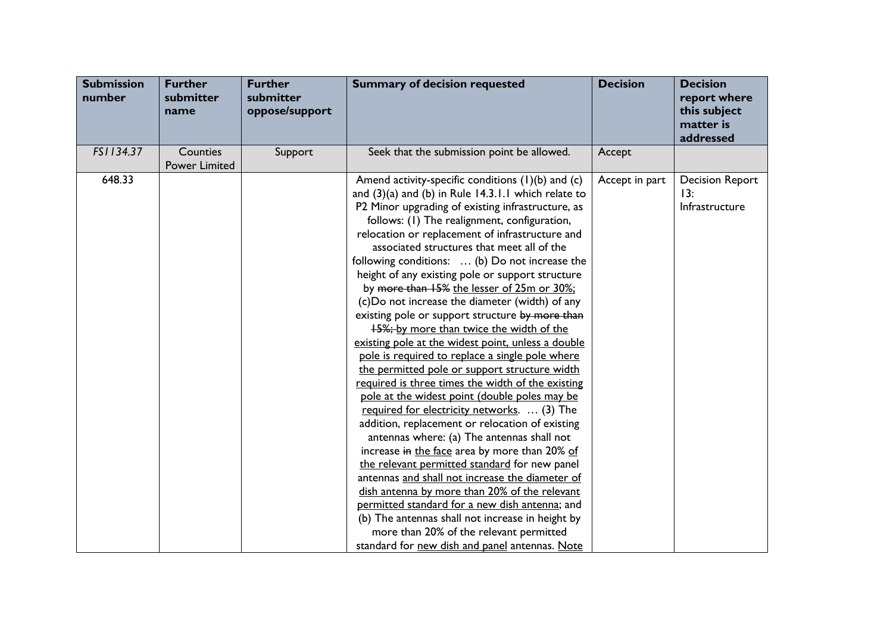| <b>Submission</b><br>number | <b>Further</b><br>submitter<br>name | <b>Further</b><br>submitter<br>oppose/support | <b>Summary of decision requested</b>                                                                                                                                                                                                                                                                                                                                                                                                                                                                                                                                                                                                                                                                                                                                                                                                                                                                                                                                                                                                                                                                                                                                                                                                                                                                                                                                                                                                                    | <b>Decision</b> | <b>Decision</b><br>report where<br>this subject<br>matter is<br>addressed |
|-----------------------------|-------------------------------------|-----------------------------------------------|---------------------------------------------------------------------------------------------------------------------------------------------------------------------------------------------------------------------------------------------------------------------------------------------------------------------------------------------------------------------------------------------------------------------------------------------------------------------------------------------------------------------------------------------------------------------------------------------------------------------------------------------------------------------------------------------------------------------------------------------------------------------------------------------------------------------------------------------------------------------------------------------------------------------------------------------------------------------------------------------------------------------------------------------------------------------------------------------------------------------------------------------------------------------------------------------------------------------------------------------------------------------------------------------------------------------------------------------------------------------------------------------------------------------------------------------------------|-----------------|---------------------------------------------------------------------------|
| FS1134.37                   | Counties<br><b>Power Limited</b>    | Support                                       | Seek that the submission point be allowed.                                                                                                                                                                                                                                                                                                                                                                                                                                                                                                                                                                                                                                                                                                                                                                                                                                                                                                                                                                                                                                                                                                                                                                                                                                                                                                                                                                                                              | Accept          |                                                                           |
| 648.33                      |                                     |                                               | Amend activity-specific conditions (1)(b) and (c)<br>and $(3)(a)$ and $(b)$ in Rule 14.3.1.1 which relate to<br>P2 Minor upgrading of existing infrastructure, as<br>follows: (1) The realignment, configuration,<br>relocation or replacement of infrastructure and<br>associated structures that meet all of the<br>following conditions:  (b) Do not increase the<br>height of any existing pole or support structure<br>by more than 15% the lesser of 25m or 30%;<br>(c)Do not increase the diameter (width) of any<br>existing pole or support structure by more than<br><b>45%; by more than twice the width of the</b><br>existing pole at the widest point, unless a double<br>pole is required to replace a single pole where<br>the permitted pole or support structure width<br>required is three times the width of the existing<br>pole at the widest point (double poles may be<br>required for electricity networks.  (3) The<br>addition, replacement or relocation of existing<br>antennas where: (a) The antennas shall not<br>increase in the face area by more than 20% of<br>the relevant permitted standard for new panel<br>antennas and shall not increase the diameter of<br>dish antenna by more than 20% of the relevant<br>permitted standard for a new dish antenna; and<br>(b) The antennas shall not increase in height by<br>more than 20% of the relevant permitted<br>standard for new dish and panel antennas. Note | Accept in part  | <b>Decision Report</b><br>13:<br>Infrastructure                           |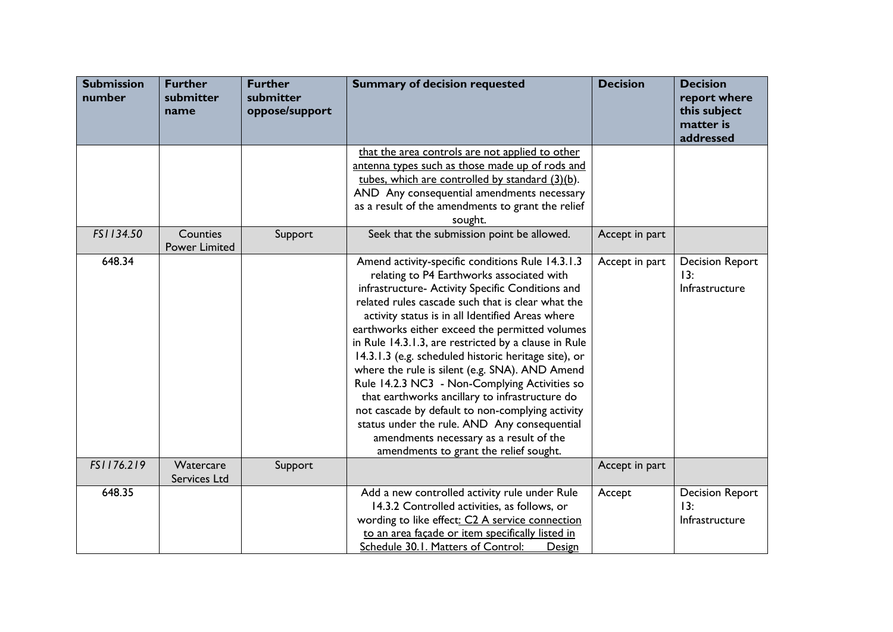| <b>Submission</b><br>number | <b>Further</b><br>submitter<br>name | <b>Further</b><br>submitter<br>oppose/support | <b>Summary of decision requested</b>                                                                                                                                                                                                                                                                                                                                                                                                                                                                                                                                                                                                                                                                                                                                       | <b>Decision</b> | <b>Decision</b><br>report where<br>this subject<br>matter is<br>addressed |
|-----------------------------|-------------------------------------|-----------------------------------------------|----------------------------------------------------------------------------------------------------------------------------------------------------------------------------------------------------------------------------------------------------------------------------------------------------------------------------------------------------------------------------------------------------------------------------------------------------------------------------------------------------------------------------------------------------------------------------------------------------------------------------------------------------------------------------------------------------------------------------------------------------------------------------|-----------------|---------------------------------------------------------------------------|
|                             |                                     |                                               | that the area controls are not applied to other<br>antenna types such as those made up of rods and<br>tubes, which are controlled by standard (3)(b).<br>AND Any consequential amendments necessary<br>as a result of the amendments to grant the relief<br>sought.                                                                                                                                                                                                                                                                                                                                                                                                                                                                                                        |                 |                                                                           |
| FS1134.50                   | Counties<br><b>Power Limited</b>    | Support                                       | Seek that the submission point be allowed.                                                                                                                                                                                                                                                                                                                                                                                                                                                                                                                                                                                                                                                                                                                                 | Accept in part  |                                                                           |
| 648.34                      |                                     |                                               | Amend activity-specific conditions Rule 14.3.1.3<br>relating to P4 Earthworks associated with<br>infrastructure- Activity Specific Conditions and<br>related rules cascade such that is clear what the<br>activity status is in all Identified Areas where<br>earthworks either exceed the permitted volumes<br>in Rule 14.3.1.3, are restricted by a clause in Rule<br>14.3.1.3 (e.g. scheduled historic heritage site), or<br>where the rule is silent (e.g. SNA). AND Amend<br>Rule 14.2.3 NC3 - Non-Complying Activities so<br>that earthworks ancillary to infrastructure do<br>not cascade by default to non-complying activity<br>status under the rule. AND Any consequential<br>amendments necessary as a result of the<br>amendments to grant the relief sought. | Accept in part  | <b>Decision Report</b><br>13:<br>Infrastructure                           |
| FS1176.219                  | Watercare<br>Services Ltd           | Support                                       |                                                                                                                                                                                                                                                                                                                                                                                                                                                                                                                                                                                                                                                                                                                                                                            | Accept in part  |                                                                           |
| 648.35                      |                                     |                                               | Add a new controlled activity rule under Rule<br>14.3.2 Controlled activities, as follows, or<br>wording to like effect: C2 A service connection<br>to an area façade or item specifically listed in<br>Schedule 30.1. Matters of Control:<br><b>Design</b>                                                                                                                                                                                                                                                                                                                                                                                                                                                                                                                | Accept          | <b>Decision Report</b><br>13:<br>Infrastructure                           |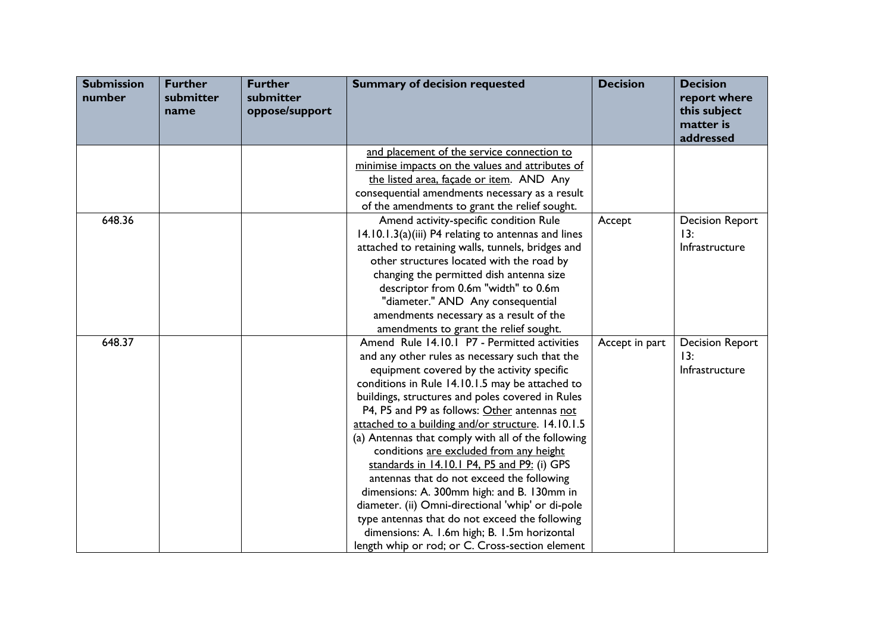| <b>Submission</b><br>number | <b>Further</b><br>submitter<br>name | <b>Further</b><br>submitter<br>oppose/support | <b>Summary of decision requested</b>                | <b>Decision</b> | <b>Decision</b><br>report where<br>this subject<br>matter is<br>addressed |
|-----------------------------|-------------------------------------|-----------------------------------------------|-----------------------------------------------------|-----------------|---------------------------------------------------------------------------|
|                             |                                     |                                               | and placement of the service connection to          |                 |                                                                           |
|                             |                                     |                                               | minimise impacts on the values and attributes of    |                 |                                                                           |
|                             |                                     |                                               | the listed area, façade or item. AND Any            |                 |                                                                           |
|                             |                                     |                                               | consequential amendments necessary as a result      |                 |                                                                           |
|                             |                                     |                                               | of the amendments to grant the relief sought.       |                 |                                                                           |
| 648.36                      |                                     |                                               | Amend activity-specific condition Rule              | Accept          | <b>Decision Report</b>                                                    |
|                             |                                     |                                               | 14.10.1.3(a)(iii) P4 relating to antennas and lines |                 | 13:                                                                       |
|                             |                                     |                                               | attached to retaining walls, tunnels, bridges and   |                 | Infrastructure                                                            |
|                             |                                     |                                               | other structures located with the road by           |                 |                                                                           |
|                             |                                     |                                               | changing the permitted dish antenna size            |                 |                                                                           |
|                             |                                     |                                               | descriptor from 0.6m "width" to 0.6m                |                 |                                                                           |
|                             |                                     |                                               | "diameter." AND Any consequential                   |                 |                                                                           |
|                             |                                     |                                               | amendments necessary as a result of the             |                 |                                                                           |
|                             |                                     |                                               | amendments to grant the relief sought.              |                 |                                                                           |
| 648.37                      |                                     |                                               | Amend Rule 14.10.1 P7 - Permitted activities        | Accept in part  | <b>Decision Report</b>                                                    |
|                             |                                     |                                               | and any other rules as necessary such that the      |                 | 13:                                                                       |
|                             |                                     |                                               | equipment covered by the activity specific          |                 | Infrastructure                                                            |
|                             |                                     |                                               | conditions in Rule 14.10.1.5 may be attached to     |                 |                                                                           |
|                             |                                     |                                               | buildings, structures and poles covered in Rules    |                 |                                                                           |
|                             |                                     |                                               | P4, P5 and P9 as follows: Other antennas not        |                 |                                                                           |
|                             |                                     |                                               | attached to a building and/or structure. 14.10.1.5  |                 |                                                                           |
|                             |                                     |                                               | (a) Antennas that comply with all of the following  |                 |                                                                           |
|                             |                                     |                                               | conditions are excluded from any height             |                 |                                                                           |
|                             |                                     |                                               | standards in 14.10.1 P4, P5 and P9: (i) GPS         |                 |                                                                           |
|                             |                                     |                                               | antennas that do not exceed the following           |                 |                                                                           |
|                             |                                     |                                               | dimensions: A. 300mm high: and B. 130mm in          |                 |                                                                           |
|                             |                                     |                                               | diameter. (ii) Omni-directional 'whip' or di-pole   |                 |                                                                           |
|                             |                                     |                                               | type antennas that do not exceed the following      |                 |                                                                           |
|                             |                                     |                                               | dimensions: A. I.6m high; B. I.5m horizontal        |                 |                                                                           |
|                             |                                     |                                               | length whip or rod; or C. Cross-section element     |                 |                                                                           |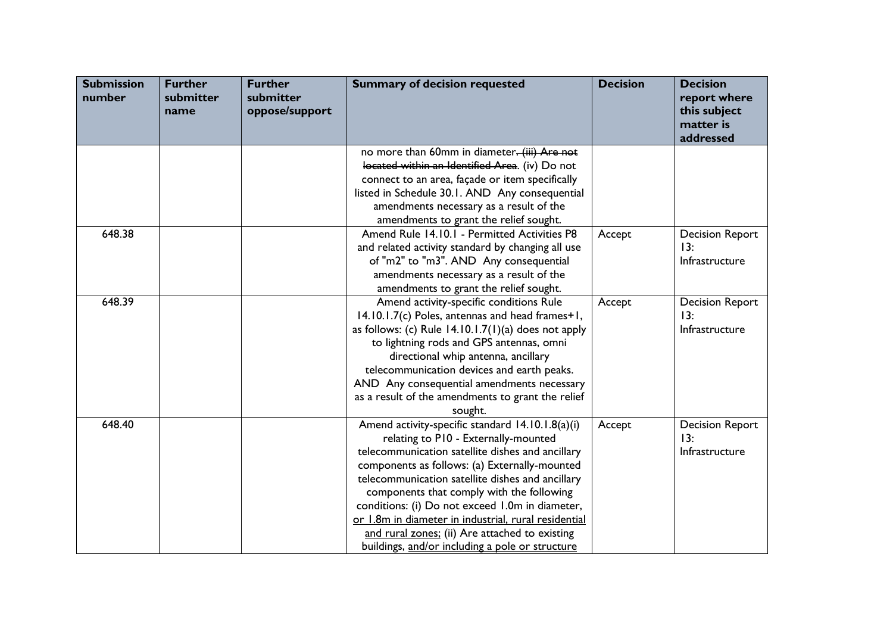| <b>Submission</b><br>number | <b>Further</b><br>submitter<br>name | <b>Further</b><br>submitter<br>oppose/support | <b>Summary of decision requested</b>                  | <b>Decision</b> | <b>Decision</b><br>report where<br>this subject<br>matter is<br>addressed |
|-----------------------------|-------------------------------------|-----------------------------------------------|-------------------------------------------------------|-----------------|---------------------------------------------------------------------------|
|                             |                                     |                                               | no more than 60mm in diameter. (iii) Are not          |                 |                                                                           |
|                             |                                     |                                               | located within an Identified Area. (iv) Do not        |                 |                                                                           |
|                             |                                     |                                               | connect to an area, façade or item specifically       |                 |                                                                           |
|                             |                                     |                                               | listed in Schedule 30.1. AND Any consequential        |                 |                                                                           |
|                             |                                     |                                               | amendments necessary as a result of the               |                 |                                                                           |
|                             |                                     |                                               | amendments to grant the relief sought.                |                 |                                                                           |
| 648.38                      |                                     |                                               | Amend Rule 14.10.1 - Permitted Activities P8          | Accept          | <b>Decision Report</b>                                                    |
|                             |                                     |                                               | and related activity standard by changing all use     |                 | 13:                                                                       |
|                             |                                     |                                               | of "m2" to "m3". AND Any consequential                |                 | Infrastructure                                                            |
|                             |                                     |                                               | amendments necessary as a result of the               |                 |                                                                           |
|                             |                                     |                                               | amendments to grant the relief sought.                |                 |                                                                           |
| 648.39                      |                                     |                                               | Amend activity-specific conditions Rule               | Accept          | <b>Decision Report</b>                                                    |
|                             |                                     |                                               | 14.10.1.7(c) Poles, antennas and head frames+1,       |                 | 13:                                                                       |
|                             |                                     |                                               | as follows: (c) Rule $14.10.1.7(1)(a)$ does not apply |                 | Infrastructure                                                            |
|                             |                                     |                                               | to lightning rods and GPS antennas, omni              |                 |                                                                           |
|                             |                                     |                                               | directional whip antenna, ancillary                   |                 |                                                                           |
|                             |                                     |                                               | telecommunication devices and earth peaks.            |                 |                                                                           |
|                             |                                     |                                               | AND Any consequential amendments necessary            |                 |                                                                           |
|                             |                                     |                                               | as a result of the amendments to grant the relief     |                 |                                                                           |
|                             |                                     |                                               | sought.                                               |                 |                                                                           |
| 648.40                      |                                     |                                               | Amend activity-specific standard 14.10.1.8(a)(i)      | Accept          | <b>Decision Report</b>                                                    |
|                             |                                     |                                               | relating to P10 - Externally-mounted                  |                 | 13:                                                                       |
|                             |                                     |                                               | telecommunication satellite dishes and ancillary      |                 | Infrastructure                                                            |
|                             |                                     |                                               | components as follows: (a) Externally-mounted         |                 |                                                                           |
|                             |                                     |                                               | telecommunication satellite dishes and ancillary      |                 |                                                                           |
|                             |                                     |                                               | components that comply with the following             |                 |                                                                           |
|                             |                                     |                                               | conditions: (i) Do not exceed 1.0m in diameter,       |                 |                                                                           |
|                             |                                     |                                               | or 1.8m in diameter in industrial, rural residential  |                 |                                                                           |
|                             |                                     |                                               | and rural zones; (ii) Are attached to existing        |                 |                                                                           |
|                             |                                     |                                               | buildings, and/or including a pole or structure       |                 |                                                                           |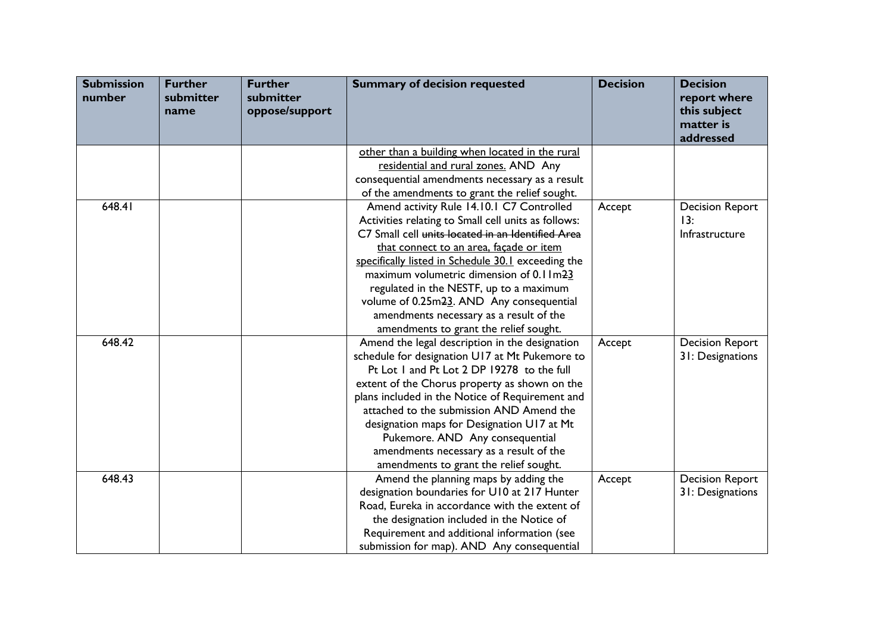| <b>Submission</b><br>number | <b>Further</b><br>submitter<br>name | <b>Further</b><br>submitter<br>oppose/support | <b>Summary of decision requested</b>                | <b>Decision</b> | <b>Decision</b><br>report where<br>this subject<br>matter is<br>addressed |
|-----------------------------|-------------------------------------|-----------------------------------------------|-----------------------------------------------------|-----------------|---------------------------------------------------------------------------|
|                             |                                     |                                               | other than a building when located in the rural     |                 |                                                                           |
|                             |                                     |                                               | residential and rural zones. AND Any                |                 |                                                                           |
|                             |                                     |                                               | consequential amendments necessary as a result      |                 |                                                                           |
|                             |                                     |                                               | of the amendments to grant the relief sought.       |                 |                                                                           |
| 648.41                      |                                     |                                               | Amend activity Rule 14.10.1 C7 Controlled           | Accept          | <b>Decision Report</b>                                                    |
|                             |                                     |                                               | Activities relating to Small cell units as follows: |                 | 13:                                                                       |
|                             |                                     |                                               | C7 Small cell units located in an Identified Area   |                 | Infrastructure                                                            |
|                             |                                     |                                               | that connect to an area, façade or item             |                 |                                                                           |
|                             |                                     |                                               | specifically listed in Schedule 30.1 exceeding the  |                 |                                                                           |
|                             |                                     |                                               | maximum volumetric dimension of 0.1 Im23            |                 |                                                                           |
|                             |                                     |                                               | regulated in the NESTF, up to a maximum             |                 |                                                                           |
|                             |                                     |                                               | volume of 0.25m23. AND Any consequential            |                 |                                                                           |
|                             |                                     |                                               | amendments necessary as a result of the             |                 |                                                                           |
|                             |                                     |                                               | amendments to grant the relief sought.              |                 |                                                                           |
| 648.42                      |                                     |                                               | Amend the legal description in the designation      | Accept          | <b>Decision Report</b>                                                    |
|                             |                                     |                                               | schedule for designation U17 at Mt Pukemore to      |                 | 31: Designations                                                          |
|                             |                                     |                                               | Pt Lot 1 and Pt Lot 2 DP 19278 to the full          |                 |                                                                           |
|                             |                                     |                                               | extent of the Chorus property as shown on the       |                 |                                                                           |
|                             |                                     |                                               | plans included in the Notice of Requirement and     |                 |                                                                           |
|                             |                                     |                                               | attached to the submission AND Amend the            |                 |                                                                           |
|                             |                                     |                                               | designation maps for Designation U17 at Mt          |                 |                                                                           |
|                             |                                     |                                               | Pukemore. AND Any consequential                     |                 |                                                                           |
|                             |                                     |                                               | amendments necessary as a result of the             |                 |                                                                           |
|                             |                                     |                                               | amendments to grant the relief sought.              |                 |                                                                           |
| 648.43                      |                                     |                                               | Amend the planning maps by adding the               | Accept          | <b>Decision Report</b>                                                    |
|                             |                                     |                                               | designation boundaries for U10 at 217 Hunter        |                 | 31: Designations                                                          |
|                             |                                     |                                               | Road, Eureka in accordance with the extent of       |                 |                                                                           |
|                             |                                     |                                               | the designation included in the Notice of           |                 |                                                                           |
|                             |                                     |                                               | Requirement and additional information (see         |                 |                                                                           |
|                             |                                     |                                               | submission for map). AND Any consequential          |                 |                                                                           |